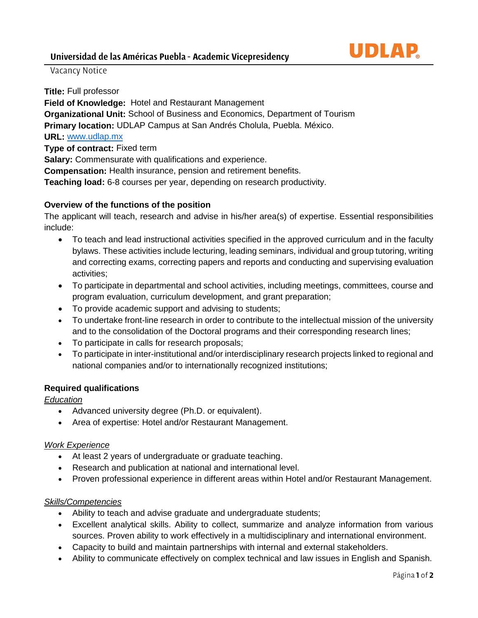

# Vacancy Notice

**Title:** Full professor

**Field of Knowledge:** Hotel and Restaurant Management **Organizational Unit:** School of Business and Economics, Department of Tourism **Primary location:** UDLAP Campus at San Andrés Cholula, Puebla. México. **URL:** [www.udlap.mx](http://www.udlap.mx/) **Type of contract:** Fixed term **Salary:** Commensurate with qualifications and experience. **Compensation:** Health insurance, pension and retirement benefits. **Teaching load:** 6-8 courses per year, depending on research productivity.

## **Overview of the functions of the position**

The applicant will teach, research and advise in his/her area(s) of expertise. Essential responsibilities include:

- To teach and lead instructional activities specified in the approved curriculum and in the faculty bylaws. These activities include lecturing, leading seminars, individual and group tutoring, writing and correcting exams, correcting papers and reports and conducting and supervising evaluation activities;
- To participate in departmental and school activities, including meetings, committees, course and program evaluation, curriculum development, and grant preparation;
- To provide academic support and advising to students;
- To undertake front-line research in order to contribute to the intellectual mission of the university and to the consolidation of the Doctoral programs and their corresponding research lines;
- To participate in calls for research proposals;
- To participate in inter-institutional and/or interdisciplinary research projects linked to regional and national companies and/or to internationally recognized institutions;

## **Required qualifications**

*Education*

- Advanced university degree (Ph.D. or equivalent).
- Area of expertise: Hotel and/or Restaurant Management.

#### *Work Experience*

- At least 2 years of undergraduate or graduate teaching.
- Research and publication at national and international level.
- Proven professional experience in different areas within Hotel and/or Restaurant Management.

## *Skills/Competencies*

- Ability to teach and advise graduate and undergraduate students;
- Excellent analytical skills. Ability to collect, summarize and analyze information from various sources. Proven ability to work effectively in a multidisciplinary and international environment.
- Capacity to build and maintain partnerships with internal and external stakeholders.
- Ability to communicate effectively on complex technical and law issues in English and Spanish.